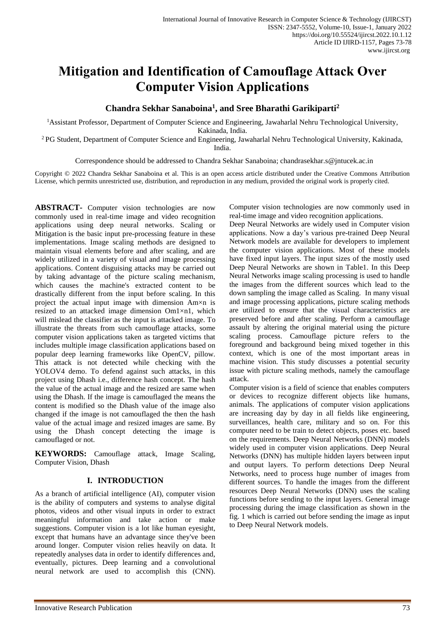# **Mitigation and Identification of Camouflage Attack Over Computer Vision Applications**

# **Chandra Sekhar Sanaboina<sup>1</sup> , and Sree Bharathi Garikiparti<sup>2</sup>**

<sup>1</sup>Assistant Professor, Department of Computer Science and Engineering, Jawaharlal Nehru Technological University, Kakinada, India.

<sup>2</sup> PG Student, Department of Computer Science and Engineering, Jawaharlal Nehru Technological University, Kakinada, India.

Correspondence should be addressed to Chandra Sekhar Sanaboina; chandrasekhar.s@jntucek.ac.in

Copyright © 2022 Chandra Sekhar Sanaboina et al. This is an open access article distributed under the Creative Commons Attribution License, which permits unrestricted use, distribution, and reproduction in any medium, provided the original work is properly cited.

**ABSTRACT-** Computer vision technologies are now commonly used in real-time image and video recognition applications using deep neural networks. Scaling or Mitigation is the basic input pre-processing feature in these implementations. Image scaling methods are designed to maintain visual elements before and after scaling, and are widely utilized in a variety of visual and image processing applications. Content disguising attacks may be carried out by taking advantage of the picture scaling mechanism, which causes the machine's extracted content to be drastically different from the input before scaling. In this project the actual input image with dimension Am×n is resized to an attacked image dimension Om1×n1, which will mislead the classifier as the input is attacked image. To illustrate the threats from such camouflage attacks, some computer vision applications taken as targeted victims that includes multiple image classification applications based on popular deep learning frameworks like OpenCV, pillow. This attack is not detected while checking with the YOLOV4 demo. To defend against such attacks, in this project using Dhash i.e., difference hash concept. The hash the value of the actual image and the resized are same when using the Dhash. If the image is camouflaged the means the content is modified so the Dhash value of the image also changed if the image is not camouflaged the then the hash value of the actual image and resized images are same. By using the Dhash concept detecting the image is camouflaged or not.

**KEYWORDS:** Camouflage attack, Image Scaling, Computer Vision, Dhash

# **I. INTRODUCTION**

As a branch of artificial intelligence (AI), computer vision is the ability of computers and systems to analyse digital photos, videos and other visual inputs in order to extract meaningful information and take action or make suggestions. Computer vision is a lot like human eyesight, except that humans have an advantage since they've been around longer. Computer vision relies heavily on data. It repeatedly analyses data in order to identify differences and, eventually, pictures. Deep learning and a convolutional neural network are used to accomplish this (CNN).

Computer vision technologies are now commonly used in real-time image and video recognition applications.

Deep Neural Networks are widely used in Computer vision applications. Now a day's various pre-trained Deep Neural Network models are available for developers to implement the computer vision applications. Most of these models have fixed input layers. The input sizes of the mostly used Deep Neural Networks are shown in Table1. In this Deep Neural Networks image scaling processing is used to handle the images from the different sources which lead to the down sampling the image called as Scaling. In many visual and image processing applications, picture scaling methods are utilized to ensure that the visual characteristics are preserved before and after scaling. Perform a camouflage assault by altering the original material using the picture scaling process. Camouflage picture refers to the foreground and background being mixed together in this context, which is one of the most important areas in machine vision. This study discusses a potential security issue with picture scaling methods, namely the camouflage attack.

Computer vision is a field of science that enables computers or devices to recognize different objects like humans, animals. The applications of computer vision applications are increasing day by day in all fields like engineering, surveillances, health care, military and so on. For this computer need to be train to detect objects, poses etc. based on the requirements. Deep Neural Networks (DNN) models widely used in computer vision applications. Deep Neural Networks (DNN) has multiple hidden layers between input and output layers. To perform detections Deep Neural Networks, need to process huge number of images from different sources. To handle the images from the different resources Deep Neural Networks (DNN) uses the scaling functions before sending to the input layers. General image processing during the image classification as shown in the fig. 1 which is carried out before sending the image as input to Deep Neural Network models.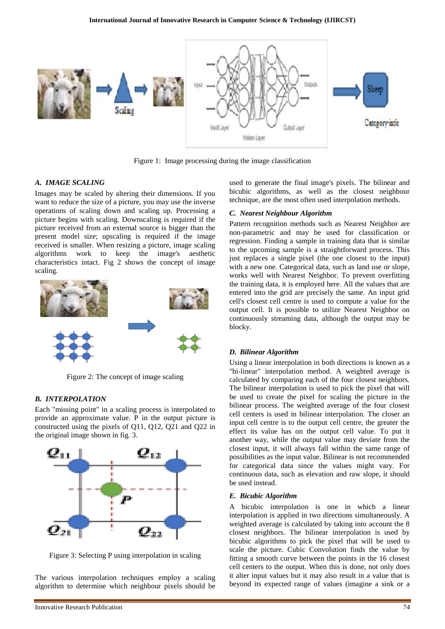

Figure 1: Image processing during the image classification

## *A. IMAGE SCALING*

Images may be scaled by altering their dimensions. If you want to reduce the size of a picture, you may use the inverse operations of scaling down and scaling up. Processing a picture begins with scaling. Downscaling is required if the picture received from an external source is bigger than the present model size; upscaling is required if the image received is smaller. When resizing a picture, image scaling algorithms work to keep the image's aesthetic characteristics intact. Fig 2 shows the concept of image scaling.



Figure 2: The concept of image scaling

#### *B. INTERPOLATION*

Each "missing point" in a scaling process is interpolated to provide an approximate value. P in the output picture is constructed using the pixels of Q11, Q12, Q21 and Q22 in the original image shown in fig. 3.



Figure 3: Selecting P using interpolation in scaling

The various interpolation techniques employ a scaling algorithm to determine which neighbour pixels should be used to generate the final image's pixels. The bilinear and bicubic algorithms, as well as the closest neighbour technique, are the most often used interpolation methods.

#### *C. Nearest Neighbour Algorithm*

Pattern recognition methods such as Nearest Neighbor are non-parametric and may be used for classification or regression. Finding a sample in training data that is similar to the upcoming sample is a straightforward process. This just replaces a single pixel (the one closest to the input) with a new one. Categorical data, such as land use or slope, works well with Nearest Neighbor. To prevent overfitting the training data, it is employed here. All the values that are entered into the grid are precisely the same. An input grid cell's closest cell centre is used to compute a value for the output cell. It is possible to utilize Nearest Neighbor on continuously streaming data, although the output may be blocky.

#### *D. Bilinear Algorithm*

Using a linear interpolation in both directions is known as a "bi-linear" interpolation method. A weighted average is calculated by comparing each of the four closest neighbors. The bilinear interpolation is used to pick the pixel that will be used to create the pixel for scaling the picture in the bilinear process. The weighted average of the four closest cell centers is used in bilinear interpolation. The closer an input cell centre is to the output cell centre, the greater the effect its value has on the output cell value. To put it another way, while the output value may deviate from the closest input, it will always fall within the same range of possibilities as the input value. Bilinear is not recommended for categorical data since the values might vary. For continuous data, such as elevation and raw slope, it should be used instead.

#### *E. Bicubic Algorithm*

A bicubic interpolation is one in which a linear interpolation is applied in two directions simultaneously. A weighted average is calculated by taking into account the 8 closest neighbors. The bilinear interpolation is used by bicubic algorithms to pick the pixel that will be used to scale the picture. Cubic Convolution finds the value by fitting a smooth curve between the points in the 16 closest cell centers to the output. When this is done, not only does it alter input values but it may also result in a value that is beyond its expected range of values (imagine a sink or a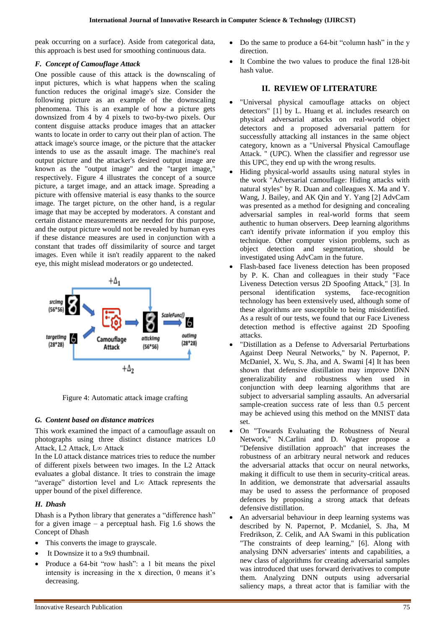peak occurring on a surface). Aside from categorical data, this approach is best used for smoothing continuous data.

# *F. Concept of Camouflage Attack*

One possible cause of this attack is the downscaling of input pictures, which is what happens when the scaling function reduces the original image's size. Consider the following picture as an example of the downscaling phenomena. This is an example of how a picture gets downsized from 4 by 4 pixels to two-by-two pixels. Our content disguise attacks produce images that an attacker wants to locate in order to carry out their plan of action. The attack image's source image, or the picture that the attacker intends to use as the assault image. The machine's real output picture and the attacker's desired output image are known as the "output image" and the "target image," respectively. Figure 4 illustrates the concept of a source picture, a target image, and an attack image. Spreading a picture with offensive material is easy thanks to the source image. The target picture, on the other hand, is a regular image that may be accepted by moderators. A constant and certain distance measurements are needed for this purpose, and the output picture would not be revealed by human eyes if these distance measures are used in conjunction with a constant that trades off dissimilarity of source and target images. Even while it isn't readily apparent to the naked eye, this might mislead moderators or go undetected.



Figure 4: Automatic attack image crafting

# *G. Content based on distance matrices*

This work examined the impact of a camouflage assault on photographs using three distinct distance matrices L0 Attack, L2 Attack, L∞ Attack

In the L0 attack distance matrices tries to reduce the number of different pixels between two images. In the L2 Attack evaluates a global distance. It tries to constrain the image "average" distortion level and L∞ Attack represents the upper bound of the pixel difference.

# *H. Dhash*

Dhash is a Python library that generates a "difference hash" for a given image  $-$  a perceptual hash. Fig 1.6 shows the Concept of Dhash

- This converts the image to grayscale.
- It Downsize it to a 9x9 thumbnail.
- Produce a 64-bit "row hash": a 1 bit means the pixel intensity is increasing in the x direction, 0 means it's decreasing.
- Do the same to produce a 64-bit "column hash" in the y direction.
- It Combine the two values to produce the final 128-bit hash value.

# **II. REVIEW OF LITERATURE**

- "Universal physical camouflage attacks on object detectors" [1] by L. Huang et al. includes research on physical adversarial attacks on real-world object detectors and a proposed adversarial pattern for successfully attacking all instances in the same object category, known as a "Universal Physical Camouflage Attack. " (UPC). When the classifier and regressor use this UPC, they end up with the wrong results.
- Hiding physical-world assaults using natural styles in the work "Adversarial camouflage: Hiding attacks with natural styles" by R. Duan and colleagues X. Ma and Y. Wang, J. Bailey, and AK Qin and Y. Yang [2] AdvCam was presented as a method for designing and concealing adversarial samples in real-world forms that seem authentic to human observers. Deep learning algorithms can't identify private information if you employ this technique. Other computer vision problems, such as object detection and segmentation, should be investigated using AdvCam in the future.
- Flash-based face liveness detection has been proposed by P. K. Chan and colleagues in their study "Face Liveness Detection versus 2D Spoofing Attack," [3]. In personal identification systems, face-recognition technology has been extensively used, although some of these algorithms are susceptible to being misidentified. As a result of our tests, we found that our Face Liveness detection method is effective against 2D Spoofing attacks.
- "Distillation as a Defense to Adversarial Perturbations Against Deep Neural Networks," by N. Papernot, P. McDaniel, X. Wu, S. Jha, and A. Swami [4] It has been shown that defensive distillation may improve DNN generalizability and robustness when used in conjunction with deep learning algorithms that are subject to adversarial sampling assaults. An adversarial sample-creation success rate of less than 0.5 percent may be achieved using this method on the MNIST data set.
- On "Towards Evaluating the Robustness of Neural Network," N.Carlini and D. Wagner propose a "Defensive distillation approach" that increases the robustness of an arbitrary neural network and reduces the adversarial attacks that occur on neural networks, making it difficult to use them in security-critical areas. In addition, we demonstrate that adversarial assaults may be used to assess the performance of proposed defences by proposing a strong attack that defeats defensive distillation.
- An adversarial behaviour in deep learning systems was described by N. Papernot, P. Mcdaniel, S. Jha, M Fredrikson, Z. Celik, and AA Swami in this publication "The constraints of deep learning," [6]. Along with analysing DNN adversaries' intents and capabilities, a new class of algorithms for creating adversarial samples was introduced that uses forward derivatives to compute them. Analyzing DNN outputs using adversarial saliency maps, a threat actor that is familiar with the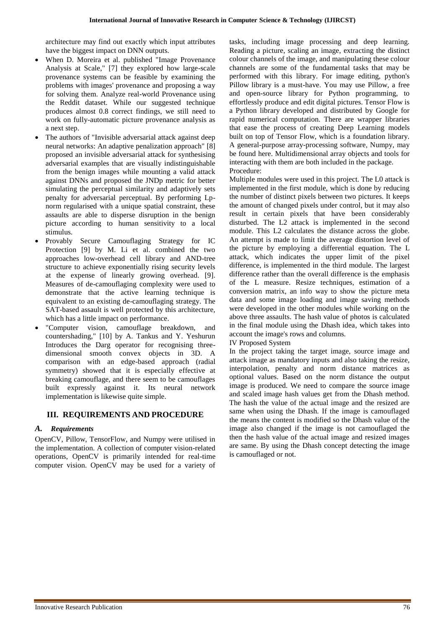architecture may find out exactly which input attributes have the biggest impact on DNN outputs.

- When D. Moreira et al. published "Image Provenance Analysis at Scale," [7] they explored how large-scale provenance systems can be feasible by examining the problems with images' provenance and proposing a way for solving them. Analyze real-world Provenance using the Reddit dataset. While our suggested technique produces almost 0.8 correct findings, we still need to work on fully-automatic picture provenance analysis as a next step.
- The authors of "Invisible adversarial attack against deep neural networks: An adaptive penalization approach" [8] proposed an invisible adversarial attack for synthesising adversarial examples that are visually indistinguishable from the benign images while mounting a valid attack against DNNs and proposed the JNDp metric for better simulating the perceptual similarity and adaptively sets penalty for adversarial perceptual. By performing Lpnorm regularised with a unique spatial constraint, these assaults are able to disperse disruption in the benign picture according to human sensitivity to a local stimulus.
- Provably Secure Camouflaging Strategy for IC Protection [9] by M. Li et al. combined the two approaches low-overhead cell library and AND-tree structure to achieve exponentially rising security levels at the expense of linearly growing overhead. [9]. Measures of de-camouflaging complexity were used to demonstrate that the active learning technique is equivalent to an existing de-camouflaging strategy. The SAT-based assault is well protected by this architecture, which has a little impact on performance.
- "Computer vision, camouflage breakdown, and countershading," [10] by A. Tankus and Y. Yeshurun Introduces the Darg operator for recognising threedimensional smooth convex objects in 3D. A comparison with an edge-based approach (radial symmetry) showed that it is especially effective at breaking camouflage, and there seem to be camouflages built expressly against it. Its neural network implementation is likewise quite simple.

## **III. REQUIREMENTS AND PROCEDURE**

## *A. Requirements*

OpenCV, Pillow, TensorFlow, and Numpy were utilised in the implementation. A collection of computer vision-related operations, OpenCV is primarily intended for real-time computer vision. OpenCV may be used for a variety of

tasks, including image processing and deep learning. Reading a picture, scaling an image, extracting the distinct colour channels of the image, and manipulating these colour channels are some of the fundamental tasks that may be performed with this library. For image editing, python's Pillow library is a must-have. You may use Pillow, a free and open-source library for Python programming, to effortlessly produce and edit digital pictures. Tensor Flow is a Python library developed and distributed by Google for rapid numerical computation. There are wrapper libraries that ease the process of creating Deep Learning models built on top of Tensor Flow, which is a foundation library. A general-purpose array-processing software, Numpy, may be found here. Multidimensional array objects and tools for interacting with them are both included in the package. Procedure:

Multiple modules were used in this project. The L0 attack is implemented in the first module, which is done by reducing the number of distinct pixels between two pictures. It keeps the amount of changed pixels under control, but it may also result in certain pixels that have been considerably disturbed. The L2 attack is implemented in the second module. This L2 calculates the distance across the globe. An attempt is made to limit the average distortion level of the picture by employing a differential equation. The L attack, which indicates the upper limit of the pixel difference, is implemented in the third module. The largest difference rather than the overall difference is the emphasis of the L measure. Resize techniques, estimation of a conversion matrix, an info way to show the picture meta data and some image loading and image saving methods were developed in the other modules while working on the above three assaults. The hash value of photos is calculated in the final module using the Dhash idea, which takes into account the image's rows and columns.

#### IV Proposed System

In the project taking the target image, source image and attack image as mandatory inputs and also taking the resize, interpolation, penalty and norm distance matrices as optional values. Based on the norm distance the output image is produced. We need to compare the source image and scaled image hash values get from the Dhash method. The hash the value of the actual image and the resized are same when using the Dhash. If the image is camouflaged the means the content is modified so the Dhash value of the image also changed if the image is not camouflaged the then the hash value of the actual image and resized images are same. By using the Dhash concept detecting the image is camouflaged or not.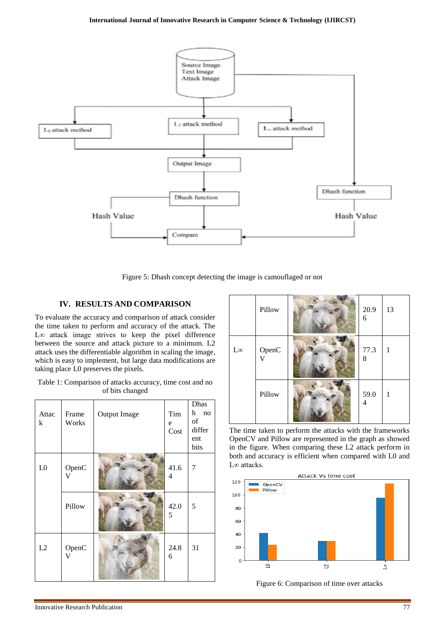

Figure 5: Dhash concept detecting the image is camouflaged or not

# **IV. RESULTS AND COMPARISON**

To evaluate the accuracy and comparison of attack consider the time taken to perform and accuracy of the attack. The L∞ attack image strives to keep the pixel difference between the source and attack picture to a minimum. L2 attack uses the differentiable algorithm in scaling the image, which is easy to implement, but large data modifications are taking place L0 preserves the pixels.

Table 1: Comparison of attacks accuracy, time cost and no of bits changed

| Attac<br>k     | Frame<br>Works | <b>Output Image</b> | Tim<br>e<br>Cost | Dhas<br>h<br>no<br>of<br>differ<br>ent<br>bits |
|----------------|----------------|---------------------|------------------|------------------------------------------------|
| L <sub>0</sub> | OpenC<br>V     |                     | 41.6<br>4        | 7                                              |
|                | Pillow         |                     | 42.0<br>5        | 5                                              |
| L2             | OpenC<br>V     |                     | 24.8<br>6        | 31                                             |



The time taken to perform the attacks with the frameworks OpenCV and Pillow are represented in the graph as showed in the figure. When comparing these L2 attack perform in both and accuracy is efficient when compared with L0 and L∞ attacks.



Figure 6: Comparison of time over attacks